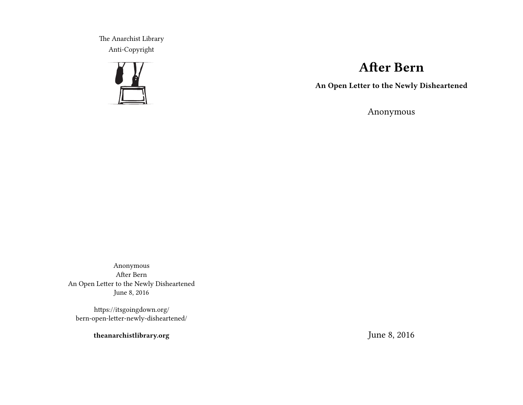The Anarchist Library Anti-Copyright



# **After Bern**

**An Open Letter to the Newly Disheartened**

Anonymous

Anonymous After Bern An Open Letter to the Newly Disheartened June 8, 2016

https://itsgoingdown.org/ bern-open-letter-newly-disheartened/

**theanarchistlibrary.org**

June 8, 2016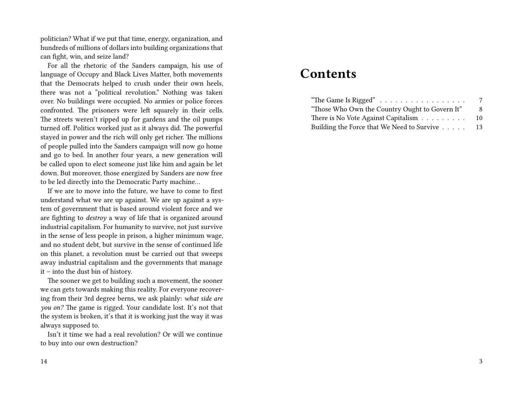politician? What if we put that time, energy, organization, and hundreds of millions of dollars into building organizations that can fight, win, and seize land?

For all the rhetoric of the Sanders campaign, his use of language of Occupy and Black Lives Matter, both movements that the Democrats helped to crush under their own heels, there was not a "political revolution." Nothing was taken over. No buildings were occupied. No armies or police forces confronted. The prisoners were left squarely in their cells. The streets weren't ripped up for gardens and the oil pumps turned off. Politics worked just as it always did. The powerful stayed in power and the rich will only get richer. The millions of people pulled into the Sanders campaign will now go home and go to bed. In another four years, a new generation will be called upon to elect someone just like him and again be let down. But moreover, those energized by Sanders are now free to be led directly into the Democratic Party machine…

If we are to move into the future, we have to come to first understand what we are up against. We are up against a system of government that is based around violent force and we are fighting to *destroy* a way of life that is organized around industrial capitalism. For humanity to survive, not just survive in the sense of less people in prison, a higher minimum wage, and no student debt, but survive in the sense of continued life on this planet, a revolution must be carried out that sweeps away industrial capitalism and the governments that manage it – into the dust bin of history.

The sooner we get to building such a movement, the sooner we can gets towards making this reality. For everyone recovering from their 3rd degree berns, we ask plainly: *what side are you on?* The game is rigged. Your candidate lost. It's not that the system is broken, it's that it is working just the way it was always supposed to.

Isn't it time we had a real revolution? Or will we continue to buy into our own destruction?

## **Contents**

| "The Game Is Rigged"                           | 7   |
|------------------------------------------------|-----|
| "Those Who Own the Country Ought to Govern It" | 8   |
| There is No Vote Against Capitalism            | -10 |
| Building the Force that We Need to Survive 13  |     |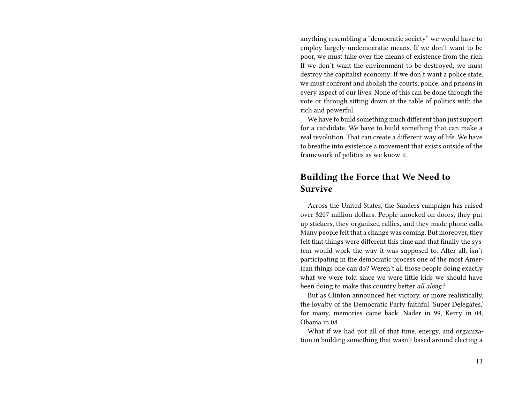anything resembling a "democratic society" we would have to employ largely undemocratic means. If we don't want to be poor, we must take over the means of existence from the rich. If we don't want the environment to be destroyed, we must destroy the capitalist economy. If we don't want a police state, we must confront and abolish the courts, police, and prisons in every aspect of our lives. None of this can be done through the vote or through sitting down at the table of politics with the rich and powerful.

We have to build something much different than just support for a candidate. We have to build something that can make a real revolution. That can create a different way of life. We have to breathe into existence a movement that exists outside of the framework of politics as we know it.

#### **Building the Force that We Need to Survive**

Across the United States, the Sanders campaign has raised over \$207 million dollars. People knocked on doors, they put up stickers, they organized rallies, and they made phone calls. Many people felt that a change was coming. But moreover, they felt that things were different this time and that finally the system would work the way it was supposed to. After all, isn't participating in the democratic process one of the most American things one can do? Weren't all those people doing exactly what we were told since we were little kids we should have been doing to make this country better *all along?*

But as Clinton announced her victory, or more realistically, the loyalty of the Democratic Party faithful 'Super Delegates,' for many, memories came back. Nader in 99, Kerry in 04, Obama in 08…

What if we had put all of that time, energy, and organization in building something that wasn't based around electing a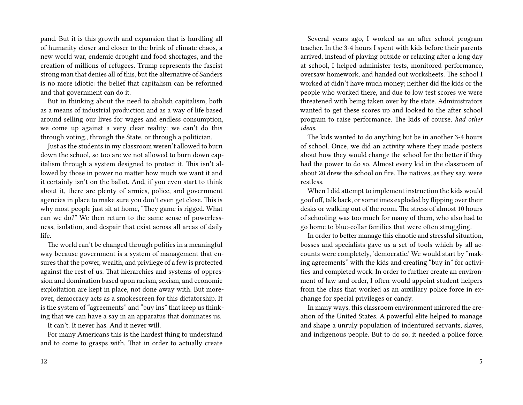pand. But it is this growth and expansion that is hurdling all of humanity closer and closer to the brink of climate chaos, a new world war, endemic drought and food shortages, and the creation of millions of refugees. Trump represents the fascist strong man that denies all of this, but the alternative of Sanders is no more idiotic: the belief that capitalism can be reformed and that government can do it.

But in thinking about the need to abolish capitalism, both as a means of industrial production and as a way of life based around selling our lives for wages and endless consumption, we come up against a very clear reality: we can't do this through voting., through the State, or through a politician.

Just as the students in my classroom weren't allowed to burn down the school, so too are we not allowed to burn down capitalism through a system designed to protect it. This isn't allowed by those in power no matter how much we want it and it certainly isn't on the ballot. And, if you even start to think about it, there are plenty of armies, police, and government agencies in place to make sure you don't even get close. This is why most people just sit at home, "They game is rigged. What can we do?" We then return to the same sense of powerlessness, isolation, and despair that exist across all areas of daily life.

The world can't be changed through politics in a meaningful way because government is a system of management that ensures that the power, wealth, and privilege of a few is protected against the rest of us. That hierarchies and systems of oppression and domination based upon racism, sexism, and economic exploitation are kept in place, not done away with. But moreover, democracy acts as a smokescreen for this dictatorship. It is the system of "agreements" and "buy ins" that keep us thinking that we can have a say in an apparatus that dominates us.

It can't. It never has. And it never will.

For many Americans this is the hardest thing to understand and to come to grasps with. That in order to actually create

Several years ago, I worked as an after school program teacher. In the 3-4 hours I spent with kids before their parents arrived, instead of playing outside or relaxing after a long day at school, I helped administer tests, monitored performance, oversaw homework, and handed out worksheets. The school I worked at didn't have much money; neither did the kids or the people who worked there, and due to low test scores we were threatened with being taken over by the state. Administrators wanted to get these scores up and looked to the after school program to raise performance. The kids of course, *had other ideas*.

The kids wanted to do anything but be in another 3-4 hours of school. Once, we did an activity where they made posters about how they would change the school for the better if they had the power to do so. Almost every kid in the classroom of about 20 drew the school on fire. The natives, as they say, were restless.

When I did attempt to implement instruction the kids would goof off, talk back, or sometimes exploded by flipping over their desks or walking out of the room. The stress of almost 10 hours of schooling was too much for many of them, who also had to go home to blue-collar families that were often struggling.

In order to better manage this chaotic and stressful situation, bosses and specialists gave us a set of tools which by all accounts were completely, 'democratic.' We would start by "making agreements" with the kids and creating "buy in" for activities and completed work. In order to further create an environment of law and order, I often would appoint student helpers from the class that worked as an auxiliary police force in exchange for special privileges or candy.

In many ways, this classroom environment mirrored the creation of the United States. A powerful elite helped to manage and shape a unruly population of indentured servants, slaves, and indigenous people. But to do so, it needed a police force.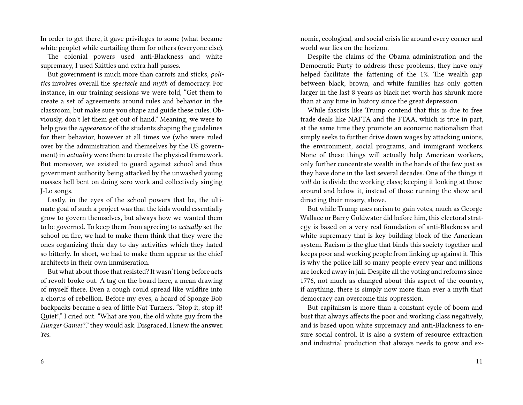In order to get there, it gave privileges to some (what became white people) while curtailing them for others (everyone else).

The colonial powers used anti-Blackness and white supremacy, I used Skittles and extra hall passes.

But government is much more than carrots and sticks, *politics* involves overall the *spectacle* and *myth* of democracy. For instance, in our training sessions we were told, "Get them to create a set of agreements around rules and behavior in the classroom, but make sure you shape and guide these rules. Obviously, don't let them get out of hand." Meaning, we were to help give the *appearance* of the students shaping the guidelines for their behavior, however at all times we (who were ruled over by the administration and themselves by the US government) in *actuality* were there to create the physical framework. But moreover, we existed to guard against school and thus government authority being attacked by the unwashed young masses hell bent on doing zero work and collectively singing J-Lo songs.

Lastly, in the eyes of the school powers that be, the ultimate goal of such a project was that the kids would essentially grow to govern themselves, but always how we wanted them to be governed*.* To keep them from agreeing to *actually* set the school on fire, we had to make them think that they were the ones organizing their day to day activities which they hated so bitterly. In short, we had to make them appear as the chief architects in their own immiseration.

But what about those that resisted? It wasn't long before acts of revolt broke out. A tag on the board here, a mean drawing of myself there. Even a cough could spread like wildfire into a chorus of rebellion. Before my eyes, a hoard of Sponge Bob backpacks became a sea of little Nat Turners. "Stop it, stop it! Quiet!," I cried out. "What are you, the old white guy from the *Hunger Games*?," they would ask. Disgraced, I knew the answer. *Yes.*

6

nomic, ecological, and social crisis lie around every corner and world war lies on the horizon.

Despite the claims of the Obama administration and the Democratic Party to address these problems, they have only helped facilitate the fattening of the 1%. The wealth gap between black, brown, and white families has only gotten larger in the last 8 years as black net worth has shrunk more than at any time in history since the great depression.

While fascists like Trump contend that this is due to free trade deals like NAFTA and the FTAA, which is true in part, at the same time they promote an economic nationalism that simply seeks to further drive down wages by attacking unions, the environment, social programs, and immigrant workers. None of these things will actually help American workers, only further concentrate wealth in the hands of the few just as they have done in the last several decades. One of the things it will do is divide the working class; keeping it looking at those around and below it, instead of those running the show and directing their misery, above.

But while Trump uses racism to gain votes, much as George Wallace or Barry Goldwater did before him, this electoral strategy is based on a very real foundation of anti-Blackness and white supremacy that is key building block of the American system. Racism is the glue that binds this society together and keeps poor and working people from linking up against it. This is why the police kill so many people every year and millions are locked away in jail. Despite all the voting and reforms since 1776, not much as changed about this aspect of the country, if anything, there is simply now more than ever a myth that democracy can overcome this oppression.

But capitalism is more than a constant cycle of boom and bust that always affects the poor and working class negatively, and is based upon white supremacy and anti-Blackness to ensure social control. It is also a system of resource extraction and industrial production that always needs to grow and ex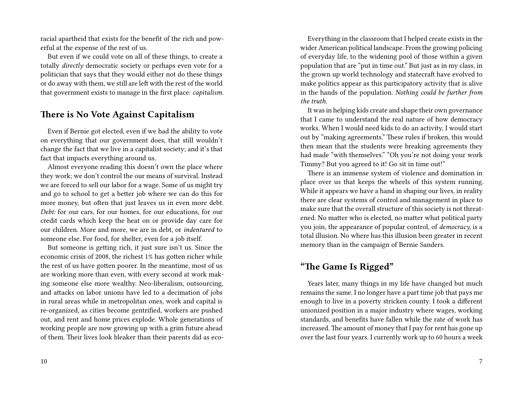racial apartheid that exists for the benefit of the rich and powerful at the expense of the rest of us.

But even if we could vote on all of these things, to create a totally *directly* democratic society or perhaps even vote for a politician that says that they would either not do these things or do away with them, we still are left with the rest of the world that government exists to manage in the first place: *capitalism.*

#### **There is No Vote Against Capitalism**

Even if Bernie got elected, even if we had the ability to vote on everything that our government does, that still wouldn't change the fact that we live in a capitalist society; and it's that fact that impacts everything around us.

Almost everyone reading this doesn't own the place where they work; we don't control the our means of survival. Instead we are forced to sell our labor for a wage. Some of us might try and go to school to get a better job where we can do this for more money, but often that just leaves us in even more debt. *Debt:* for our cars, for our homes, for our educations, for our credit cards which keep the heat on or provide day care for our children. More and more, we are in debt, or *indentured* to someone else. For food, for shelter, even for a job itself.

But someone is getting rich, it just sure isn't us. Since the economic crisis of 2008, the richest 1% has gotten richer while the rest of us have gotten poorer. In the meantime, most of us are working more than even, with every second at work making someone else more wealthy. Neo-liberalism, outsourcing, and attacks on labor unions have led to a decimation of jobs in rural areas while in metropolitan ones, work and capital is re-organized, as cities become gentrified, workers are pushed out, and rent and home prices explode. Whole generations of working people are now growing up with a grim future ahead of them. Their lives look bleaker than their parents did as eco-

Everything in the classroom that I helped create exists in the wider American political landscape. From the growing policing of everyday life, to the widening pool of those within a given population that are "put in time out." But just as in my class, in the grown up world technology and statecraft have evolved to make politics appear as this participatory activity that is alive in the hands of the population. *Nothing could be further from the truth.*

It was in helping kids create and shape their own governance that I came to understand the real nature of how democracy works. When I would need kids to do an activity, I would start out by "making agreements." These rules if broken, this would then mean that the students were breaking agreements they had made "with themselves." "Oh you're not doing your work Timmy? But you agreed to it! Go sit in time out!"

There is an immense system of violence and domination in place over us that keeps the wheels of this system running. While it appears we have a hand in shaping our lives, in reality there are clear systems of control and management in place to make sure that the overall structure of this society is not threatened. No matter who is elected, no matter what political party you join, the appearance of popular control, of *democracy,* is a total illusion. No where has this illusion been greater in recent memory than in the campaign of Bernie Sanders.

#### **"The Game Is Rigged"**

Years later, many things in my life have changed but much remains the same. I no longer have a part time job that pays me enough to live in a poverty stricken county. I took a different unionized position in a major industry where wages, working standards, and benefits have fallen while the rate of work has increased. The amount of money that I pay for rent has gone up over the last four years. I currently work up to 60 hours a week